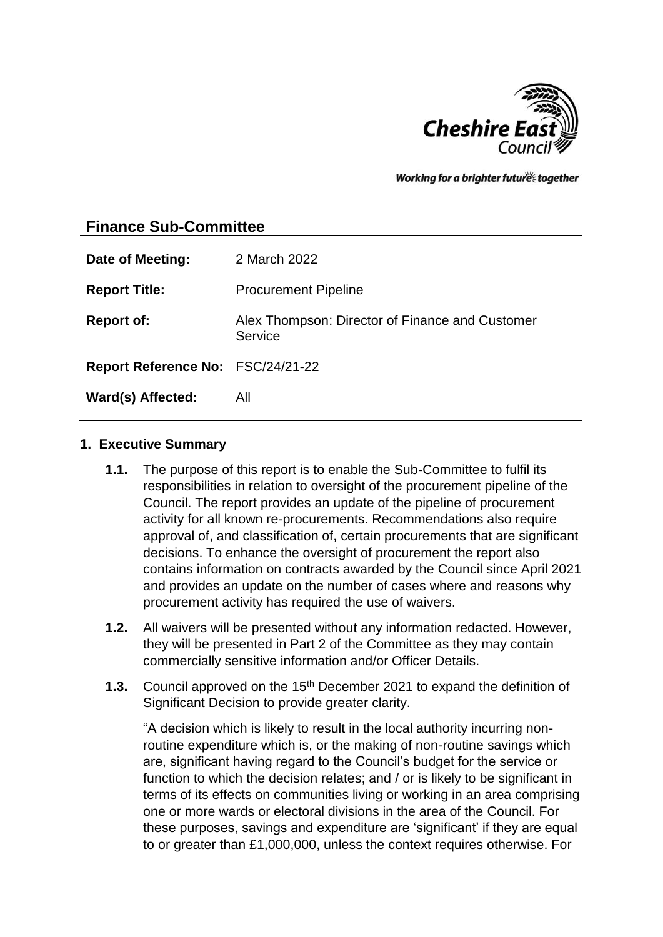

Working for a brighter futures together

# **Finance Sub-Committee**

| Date of Meeting:                  | 2 March 2022                                               |
|-----------------------------------|------------------------------------------------------------|
| <b>Report Title:</b>              | <b>Procurement Pipeline</b>                                |
| <b>Report of:</b>                 | Alex Thompson: Director of Finance and Customer<br>Service |
| Report Reference No: FSC/24/21-22 |                                                            |
| Ward(s) Affected:                 | All                                                        |

#### **1. Executive Summary**

- **1.1.** The purpose of this report is to enable the Sub-Committee to fulfil its responsibilities in relation to oversight of the procurement pipeline of the Council. The report provides an update of the pipeline of procurement activity for all known re-procurements. Recommendations also require approval of, and classification of, certain procurements that are significant decisions. To enhance the oversight of procurement the report also contains information on contracts awarded by the Council since April 2021 and provides an update on the number of cases where and reasons why procurement activity has required the use of waivers.
- **1.2.** All waivers will be presented without any information redacted. However, they will be presented in Part 2 of the Committee as they may contain commercially sensitive information and/or Officer Details.
- **1.3.** Council approved on the 15<sup>th</sup> December 2021 to expand the definition of Significant Decision to provide greater clarity.

"A decision which is likely to result in the local authority incurring nonroutine expenditure which is, or the making of non-routine savings which are, significant having regard to the Council's budget for the service or function to which the decision relates; and / or is likely to be significant in terms of its effects on communities living or working in an area comprising one or more wards or electoral divisions in the area of the Council. For these purposes, savings and expenditure are 'significant' if they are equal to or greater than £1,000,000, unless the context requires otherwise. For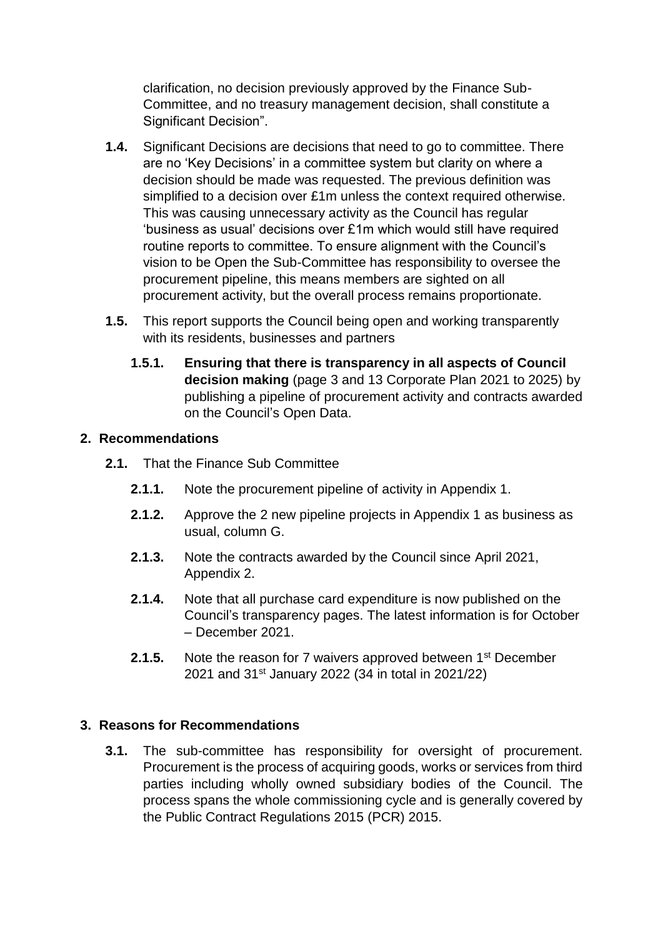clarification, no decision previously approved by the Finance Sub-Committee, and no treasury management decision, shall constitute a Significant Decision".

- **1.4.** Significant Decisions are decisions that need to go to committee. There are no 'Key Decisions' in a committee system but clarity on where a decision should be made was requested. The previous definition was simplified to a decision over £1m unless the context required otherwise. This was causing unnecessary activity as the Council has regular 'business as usual' decisions over £1m which would still have required routine reports to committee. To ensure alignment with the Council's vision to be Open the Sub-Committee has responsibility to oversee the procurement pipeline, this means members are sighted on all procurement activity, but the overall process remains proportionate.
- **1.5.** This report supports the Council being open and working transparently with its residents, businesses and partners
	- **1.5.1. Ensuring that there is transparency in all aspects of Council decision making** (page 3 and 13 Corporate Plan 2021 to 2025) by publishing a pipeline of procurement activity and contracts awarded on the Council's Open Data.

### **2. Recommendations**

- **2.1.** That the Finance Sub Committee
	- **2.1.1.** Note the procurement pipeline of activity in Appendix 1.
	- **2.1.2.** Approve the 2 new pipeline projects in Appendix 1 as business as usual, column G.
	- **2.1.3.** Note the contracts awarded by the Council since April 2021, Appendix 2.
	- **2.1.4.** Note that all purchase card expenditure is now published on the Council's transparency pages. The latest information is for October – December 2021.
	- **2.1.5.** Note the reason for 7 waivers approved between 1<sup>st</sup> December 2021 and 31<sup>st</sup> January 2022 (34 in total in 2021/22)

#### **3. Reasons for Recommendations**

**3.1.** The sub-committee has responsibility for oversight of procurement. Procurement is the process of acquiring goods, works or services from third parties including wholly owned subsidiary bodies of the Council. The process spans the whole commissioning cycle and is generally covered by the Public Contract Regulations 2015 (PCR) 2015.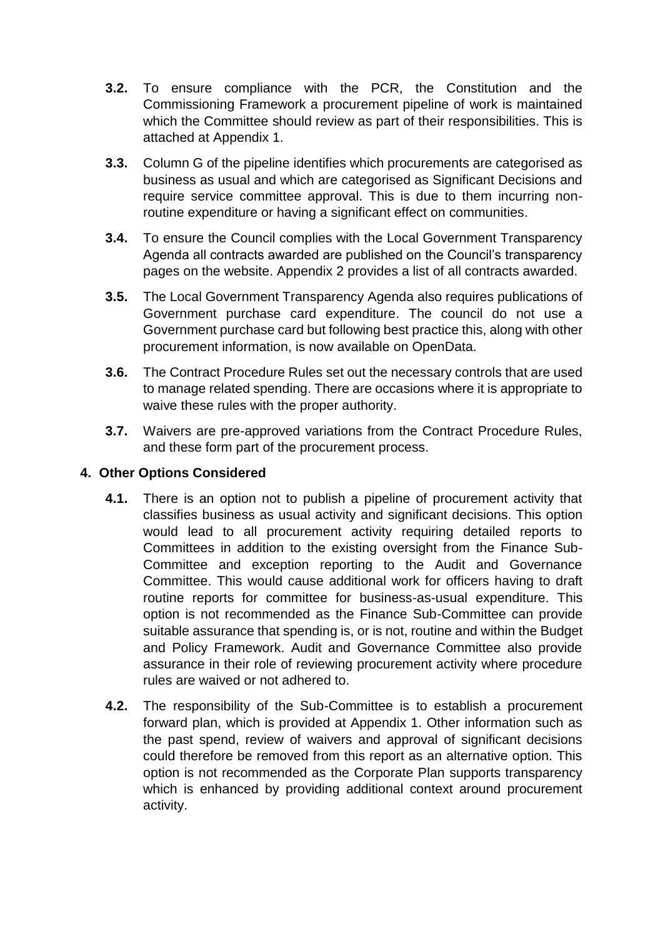- **3.2.** To ensure compliance with the PCR, the Constitution and the Commissioning Framework a procurement pipeline of work is maintained which the Committee should review as part of their responsibilities. This is attached at Appendix 1.
- **3.3.** Column G of the pipeline identifies which procurements are categorised as business as usual and which are categorised as Significant Decisions and require service committee approval. This is due to them incurring nonroutine expenditure or having a significant effect on communities.
- **3.4.** To ensure the Council complies with the Local Government Transparency Agenda all contracts awarded are published on the Council's transparency pages on the website. Appendix 2 provides a list of all contracts awarded.
- **3.5.** The Local Government Transparency Agenda also requires publications of Government purchase card expenditure. The council do not use a Government purchase card but following best practice this, along with other procurement information, is now available on OpenData.
- **3.6.** The Contract Procedure Rules set out the necessary controls that are used to manage related spending. There are occasions where it is appropriate to waive these rules with the proper authority.
- **3.7.** Waivers are pre-approved variations from the Contract Procedure Rules, and these form part of the procurement process.

## **4. Other Options Considered**

- **4.1.** There is an option not to publish a pipeline of procurement activity that classifies business as usual activity and significant decisions. This option would lead to all procurement activity requiring detailed reports to Committees in addition to the existing oversight from the Finance Sub-Committee and exception reporting to the Audit and Governance Committee. This would cause additional work for officers having to draft routine reports for committee for business-as-usual expenditure. This option is not recommended as the Finance Sub-Committee can provide suitable assurance that spending is, or is not, routine and within the Budget and Policy Framework. Audit and Governance Committee also provide assurance in their role of reviewing procurement activity where procedure rules are waived or not adhered to.
- **4.2.** The responsibility of the Sub-Committee is to establish a procurement forward plan, which is provided at Appendix 1. Other information such as the past spend, review of waivers and approval of significant decisions could therefore be removed from this report as an alternative option. This option is not recommended as the Corporate Plan supports transparency which is enhanced by providing additional context around procurement activity.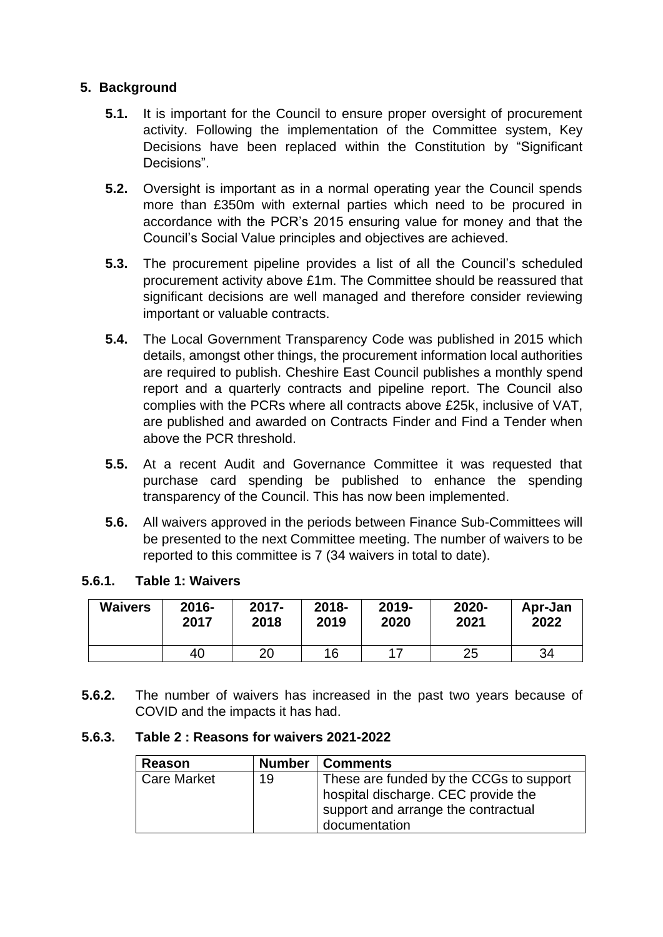## **5. Background**

- **5.1.** It is important for the Council to ensure proper oversight of procurement activity. Following the implementation of the Committee system, Key Decisions have been replaced within the Constitution by "Significant Decisions".
- **5.2.** Oversight is important as in a normal operating year the Council spends more than £350m with external parties which need to be procured in accordance with the PCR's 2015 ensuring value for money and that the Council's Social Value principles and objectives are achieved.
- **5.3.** The procurement pipeline provides a list of all the Council's scheduled procurement activity above £1m. The Committee should be reassured that significant decisions are well managed and therefore consider reviewing important or valuable contracts.
- **5.4.** The Local Government Transparency Code was published in 2015 which details, amongst other things, the procurement information local authorities are required to publish. Cheshire East Council publishes a monthly spend report and a quarterly contracts and pipeline report. The Council also complies with the PCRs where all contracts above £25k, inclusive of VAT, are published and awarded on Contracts Finder and Find a Tender when above the PCR threshold.
- **5.5.** At a recent Audit and Governance Committee it was requested that purchase card spending be published to enhance the spending transparency of the Council. This has now been implemented.
- **5.6.** All waivers approved in the periods between Finance Sub-Committees will be presented to the next Committee meeting. The number of waivers to be reported to this committee is 7 (34 waivers in total to date).

#### **5.6.1. Table 1: Waivers**

| <b>Waivers</b> | $2016 -$ | $2017 -$ | $2018 -$ | 2019- | 2020- | Apr-Jan |
|----------------|----------|----------|----------|-------|-------|---------|
|                | 2017     | 2018     | 2019     | 2020  | 2021  | 2022    |
|                | 40       | 20       | 16       | 17    | 25    | 34      |

**5.6.2.** The number of waivers has increased in the past two years because of COVID and the impacts it has had.

#### **5.6.3. Table 2 : Reasons for waivers 2021-2022**

| Reason             |    | <b>Number   Comments</b>                                                                                                               |
|--------------------|----|----------------------------------------------------------------------------------------------------------------------------------------|
| <b>Care Market</b> | 19 | These are funded by the CCGs to support<br>hospital discharge. CEC provide the<br>support and arrange the contractual<br>documentation |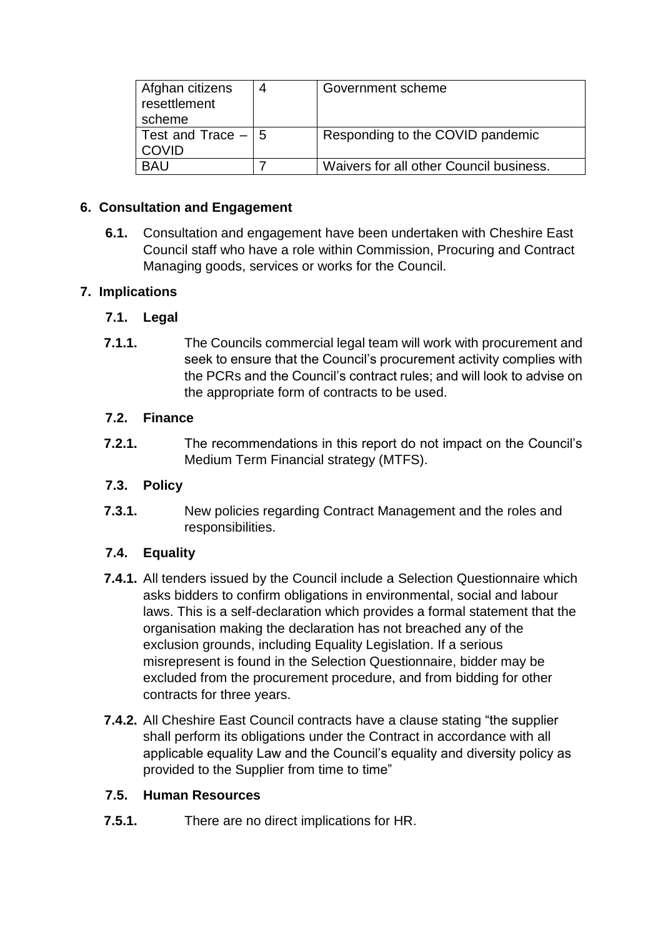| Afghan citizens<br>resettlement<br>scheme | 4 | Government scheme                       |
|-------------------------------------------|---|-----------------------------------------|
| Test and Trace $-15$<br><b>COVID</b>      |   | Responding to the COVID pandemic        |
| <b>BAU</b>                                |   | Waivers for all other Council business. |

## **6. Consultation and Engagement**

**6.1.** Consultation and engagement have been undertaken with Cheshire East Council staff who have a role within Commission, Procuring and Contract Managing goods, services or works for the Council.

# **7. Implications**

# **7.1. Legal**

**7.1.1.** The Councils commercial legal team will work with procurement and seek to ensure that the Council's procurement activity complies with the PCRs and the Council's contract rules; and will look to advise on the appropriate form of contracts to be used.

## **7.2. Finance**

**7.2.1.** The recommendations in this report do not impact on the Council's Medium Term Financial strategy (MTFS).

# **7.3. Policy**

**7.3.1.** New policies regarding Contract Management and the roles and responsibilities.

# **7.4. Equality**

- **7.4.1.** All tenders issued by the Council include a Selection Questionnaire which asks bidders to confirm obligations in environmental, social and labour laws. This is a self-declaration which provides a formal statement that the organisation making the declaration has not breached any of the exclusion grounds, including Equality Legislation. If a serious misrepresent is found in the Selection Questionnaire, bidder may be excluded from the procurement procedure, and from bidding for other contracts for three years.
- **7.4.2.** All Cheshire East Council contracts have a clause stating "the supplier shall perform its obligations under the Contract in accordance with all applicable equality Law and the Council's equality and diversity policy as provided to the Supplier from time to time"

## **7.5. Human Resources**

**7.5.1.** There are no direct implications for HR.